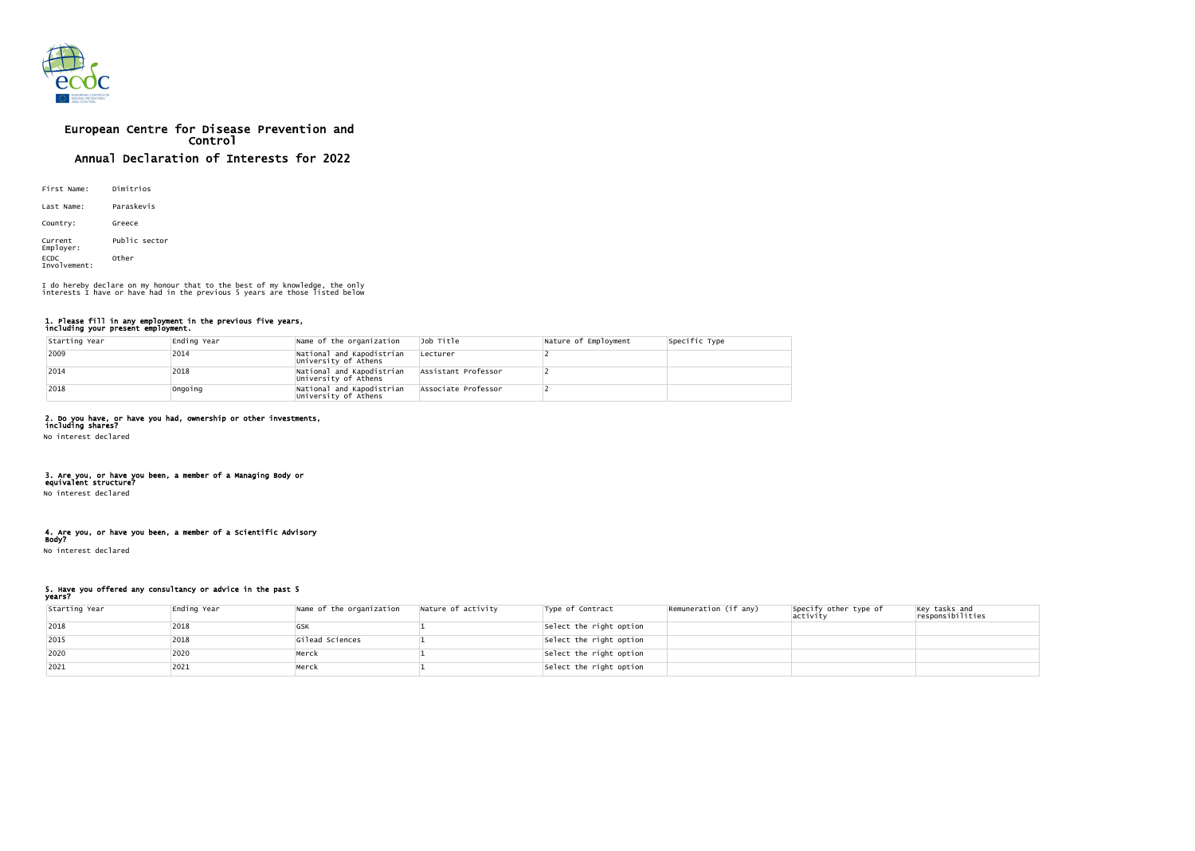

# European Centre for Disease Prevention and Control Annual Declaration of Interests for 2022

| First Name:                 | Dimitrios     |
|-----------------------------|---------------|
| Last Name:                  | Paraskevis    |
| Country:                    | Greece        |
| Current<br>Employer:        | Public sector |
| <b>ECDC</b><br>Involvement: | Other         |

### 1. Please fill in any employment in the previous five years, including your present employment.

| Starting Year | Ending Year | Name of the organization                          | Job Title           | Nature of Employment | Specific Type |
|---------------|-------------|---------------------------------------------------|---------------------|----------------------|---------------|
| $ 2009$       | 2014        | National and Kapodistrian<br>University of Athens | Lecturer            |                      |               |
| $ 2014$       | 2018        | National and Kapodistrian<br>University of Athens | Assistant Professor |                      |               |
| 2018          | Ongoing     | National and Kapodistrian<br>University of Athens | Associate Professor |                      |               |

# 2. Do you have, or have you had, ownership or other investments,

including shares? No interest declared

### 3. Are you, or have you been, a member of a Managing Body or equivalent structure?

No interest declared

## 4. Are you, or have you been, a member of a Scientific Advisory Body?

No interest declared

### 5. Have you offered any consultancy or advice in the past 5 years?

| Starting Year | Ending Year | Name of the organization | Nature of activity | Type of Contract        | Remuneration (if any) | Specify other type of<br>activity | Key tasks and<br>responsibilities |
|---------------|-------------|--------------------------|--------------------|-------------------------|-----------------------|-----------------------------------|-----------------------------------|
| 2018          | 2018        | GSK                      |                    | Select the right option |                       |                                   |                                   |
| 2015          | 2018        | Gilead Sciences          |                    | Select the right option |                       |                                   |                                   |
| 2020          | 2020        | Merck                    |                    | Select the right option |                       |                                   |                                   |
| 2021          | 2021        | Merck                    |                    | Select the right option |                       |                                   |                                   |

I do hereby declare on my honour that to the best of my knowledge, the only interests I have or have had in the previous 5 years are those listed below